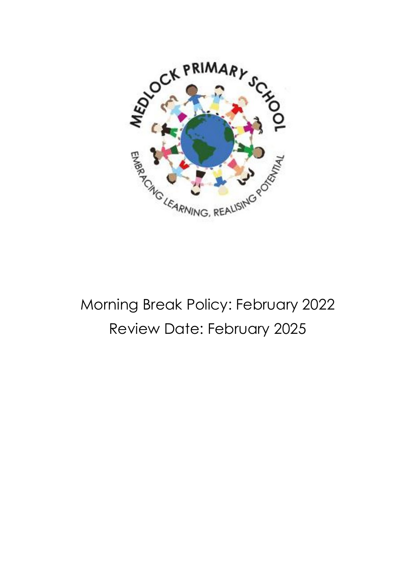

## Morning Break Policy: February 2022 Review Date: February 2025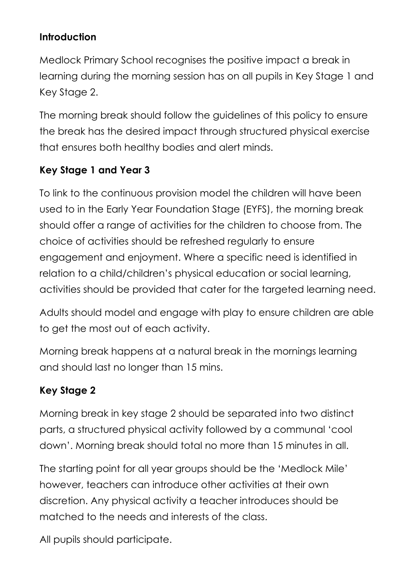## **Introduction**

Medlock Primary School recognises the positive impact a break in learning during the morning session has on all pupils in Key Stage 1 and Key Stage 2.

The morning break should follow the guidelines of this policy to ensure the break has the desired impact through structured physical exercise that ensures both healthy bodies and alert minds.

## **Key Stage 1 and Year 3**

To link to the continuous provision model the children will have been used to in the Early Year Foundation Stage (EYFS), the morning break should offer a range of activities for the children to choose from. The choice of activities should be refreshed regularly to ensure engagement and enjoyment. Where a specific need is identified in relation to a child/children's physical education or social learning, activities should be provided that cater for the targeted learning need.

Adults should model and engage with play to ensure children are able to get the most out of each activity.

Morning break happens at a natural break in the mornings learning and should last no longer than 15 mins.

## **Key Stage 2**

Morning break in key stage 2 should be separated into two distinct parts, a structured physical activity followed by a communal 'cool down'. Morning break should total no more than 15 minutes in all.

The starting point for all year groups should be the 'Medlock Mile' however, teachers can introduce other activities at their own discretion. Any physical activity a teacher introduces should be matched to the needs and interests of the class.

All pupils should participate.